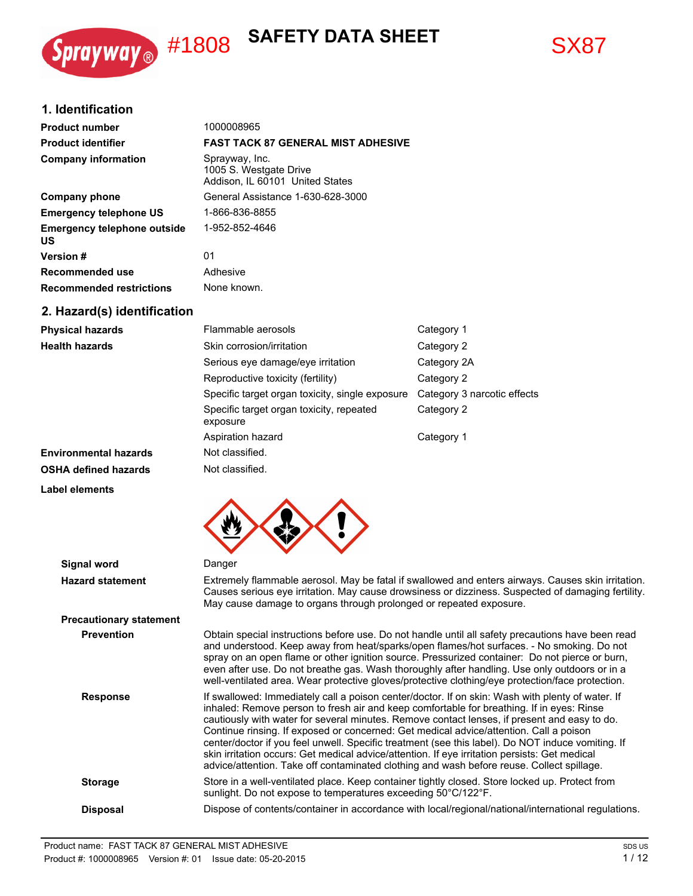





# **1. Identification**

| <b>Product number</b>                           | 1000008965                                                                  |
|-------------------------------------------------|-----------------------------------------------------------------------------|
| <b>Product identifier</b>                       | <b>FAST TACK 87 GENERAL MIST ADHESIVE</b>                                   |
| <b>Company information</b>                      | Sprayway, Inc.<br>1005 S. Westgate Drive<br>Addison, IL 60101 United States |
| Company phone                                   | General Assistance 1-630-628-3000                                           |
| <b>Emergency telephone US</b>                   | 1-866-836-8855                                                              |
| <b>Emergency telephone outside</b><br><b>US</b> | 1-952-852-4646                                                              |
| <b>Version</b> #                                | 01                                                                          |
| Recommended use                                 | Adhesive                                                                    |
| <b>Recommended restrictions</b>                 | None known.                                                                 |
| 2. Hazard(s) identification                     |                                                                             |

| <b>Physical hazards</b>      | Flammable aerosols                                   | Category 1                  |
|------------------------------|------------------------------------------------------|-----------------------------|
| <b>Health hazards</b>        | Skin corrosion/irritation                            | Category 2                  |
|                              | Serious eye damage/eye irritation                    | Category 2A                 |
|                              | Reproductive toxicity (fertility)                    | Category 2                  |
|                              | Specific target organ toxicity, single exposure      | Category 3 narcotic effects |
|                              | Specific target organ toxicity, repeated<br>exposure | Category 2                  |
|                              | Aspiration hazard                                    | Category 1                  |
| <b>Environmental hazards</b> | Not classified.                                      |                             |
| <b>OSHA defined hazards</b>  | Not classified.                                      |                             |





| Signal word                    | Danger                                                                                                                                                                                                                                                                                                                                                                                                                                                                                                                                                                                                                                                                                     |
|--------------------------------|--------------------------------------------------------------------------------------------------------------------------------------------------------------------------------------------------------------------------------------------------------------------------------------------------------------------------------------------------------------------------------------------------------------------------------------------------------------------------------------------------------------------------------------------------------------------------------------------------------------------------------------------------------------------------------------------|
| <b>Hazard statement</b>        | Extremely flammable aerosol. May be fatal if swallowed and enters airways. Causes skin irritation.<br>Causes serious eye irritation. May cause drowsiness or dizziness. Suspected of damaging fertility.<br>May cause damage to organs through prolonged or repeated exposure.                                                                                                                                                                                                                                                                                                                                                                                                             |
| <b>Precautionary statement</b> |                                                                                                                                                                                                                                                                                                                                                                                                                                                                                                                                                                                                                                                                                            |
| <b>Prevention</b>              | Obtain special instructions before use. Do not handle until all safety precautions have been read<br>and understood. Keep away from heat/sparks/open flames/hot surfaces. - No smoking. Do not<br>spray on an open flame or other ignition source. Pressurized container: Do not pierce or burn,<br>even after use. Do not breathe gas. Wash thoroughly after handling. Use only outdoors or in a<br>well-ventilated area. Wear protective gloves/protective clothing/eye protection/face protection.                                                                                                                                                                                      |
| <b>Response</b>                | If swallowed: Immediately call a poison center/doctor. If on skin: Wash with plenty of water. If<br>inhaled: Remove person to fresh air and keep comfortable for breathing. If in eyes: Rinse<br>cautiously with water for several minutes. Remove contact lenses, if present and easy to do.<br>Continue rinsing. If exposed or concerned: Get medical advice/attention. Call a poison<br>center/doctor if you feel unwell. Specific treatment (see this label). Do NOT induce vomiting. If<br>skin irritation occurs: Get medical advice/attention. If eye irritation persists: Get medical<br>advice/attention. Take off contaminated clothing and wash before reuse. Collect spillage. |
| <b>Storage</b>                 | Store in a well-ventilated place. Keep container tightly closed. Store locked up. Protect from<br>sunlight. Do not expose to temperatures exceeding 50°C/122°F.                                                                                                                                                                                                                                                                                                                                                                                                                                                                                                                            |
| <b>Disposal</b>                | Dispose of contents/container in accordance with local/regional/national/international regulations.                                                                                                                                                                                                                                                                                                                                                                                                                                                                                                                                                                                        |
|                                |                                                                                                                                                                                                                                                                                                                                                                                                                                                                                                                                                                                                                                                                                            |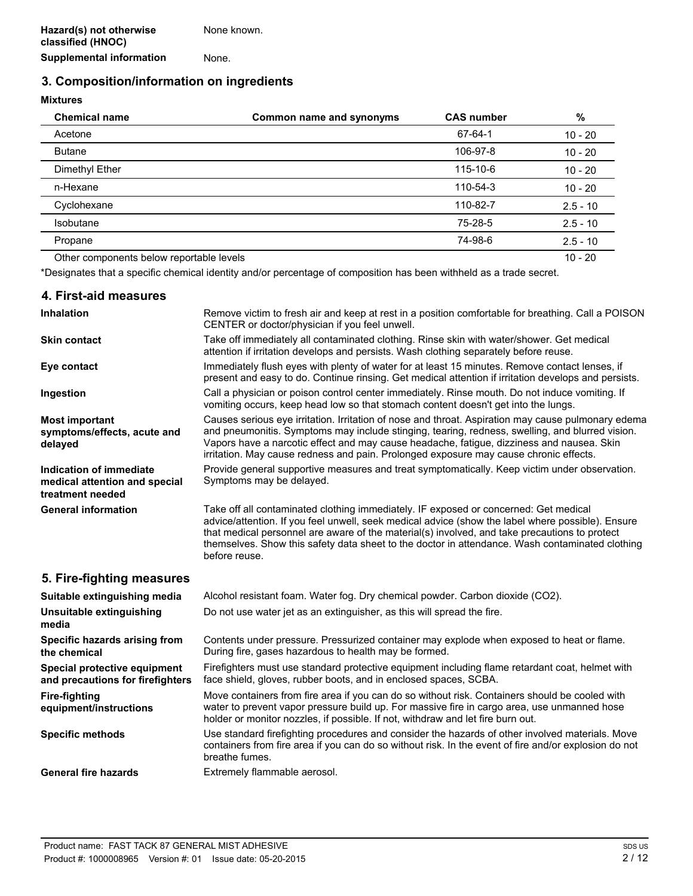# **3. Composition/information on ingredients**

## **Mixtures**

| <b>Chemical name</b>                     | Common name and synonyms | <b>CAS number</b> | %          |
|------------------------------------------|--------------------------|-------------------|------------|
| Acetone                                  |                          | 67-64-1           | $10 - 20$  |
| <b>Butane</b>                            |                          | 106-97-8          | $10 - 20$  |
| Dimethyl Ether                           |                          | 115-10-6          | $10 - 20$  |
| n-Hexane                                 |                          | 110-54-3          | $10 - 20$  |
| Cyclohexane                              |                          | 110-82-7          | $2.5 - 10$ |
| Isobutane                                |                          | 75-28-5           | $2.5 - 10$ |
| Propane                                  |                          | 74-98-6           | $2.5 - 10$ |
| Other components below reportable levels |                          |                   | $10 - 20$  |

\*Designates that a specific chemical identity and/or percentage of composition has been withheld as a trade secret.

## **4. First-aid measures**

| <b>Inhalation</b>                                                            | Remove victim to fresh air and keep at rest in a position comfortable for breathing. Call a POISON<br>CENTER or doctor/physician if you feel unwell.                                                                                                                                                                                                                                                           |  |
|------------------------------------------------------------------------------|----------------------------------------------------------------------------------------------------------------------------------------------------------------------------------------------------------------------------------------------------------------------------------------------------------------------------------------------------------------------------------------------------------------|--|
| <b>Skin contact</b>                                                          | Take off immediately all contaminated clothing. Rinse skin with water/shower. Get medical<br>attention if irritation develops and persists. Wash clothing separately before reuse.                                                                                                                                                                                                                             |  |
| Eye contact                                                                  | Immediately flush eyes with plenty of water for at least 15 minutes. Remove contact lenses, if<br>present and easy to do. Continue rinsing. Get medical attention if irritation develops and persists.                                                                                                                                                                                                         |  |
| Ingestion                                                                    | Call a physician or poison control center immediately. Rinse mouth. Do not induce vomiting. If<br>vomiting occurs, keep head low so that stomach content doesn't get into the lungs.                                                                                                                                                                                                                           |  |
| <b>Most important</b><br>symptoms/effects, acute and<br>delayed              | Causes serious eye irritation. Irritation of nose and throat. Aspiration may cause pulmonary edema<br>and pneumonitis. Symptoms may include stinging, tearing, redness, swelling, and blurred vision.<br>Vapors have a narcotic effect and may cause headache, fatigue, dizziness and nausea. Skin<br>irritation. May cause redness and pain. Prolonged exposure may cause chronic effects.                    |  |
| Indication of immediate<br>medical attention and special<br>treatment needed | Provide general supportive measures and treat symptomatically. Keep victim under observation.<br>Symptoms may be delayed.                                                                                                                                                                                                                                                                                      |  |
| <b>General information</b>                                                   | Take off all contaminated clothing immediately. IF exposed or concerned: Get medical<br>advice/attention. If you feel unwell, seek medical advice (show the label where possible). Ensure<br>that medical personnel are aware of the material(s) involved, and take precautions to protect<br>themselves. Show this safety data sheet to the doctor in attendance. Wash contaminated clothing<br>before reuse. |  |
| 5. Fire-fighting measures                                                    |                                                                                                                                                                                                                                                                                                                                                                                                                |  |
| Suitable extinguishing media                                                 | Alcohol resistant foam. Water fog. Dry chemical powder. Carbon dioxide (CO2).                                                                                                                                                                                                                                                                                                                                  |  |
| Unsuitable extinguishing<br>media                                            | Do not use water jet as an extinguisher, as this will spread the fire.                                                                                                                                                                                                                                                                                                                                         |  |
| Specific hazards arising from<br>the chemical                                | Contents under pressure. Pressurized container may explode when exposed to heat or flame.<br>During fire, gases hazardous to health may be formed.                                                                                                                                                                                                                                                             |  |
| Special protective equipment<br>and precautions for firefighters             | Firefighters must use standard protective equipment including flame retardant coat, helmet with<br>face shield, gloves, rubber boots, and in enclosed spaces, SCBA.                                                                                                                                                                                                                                            |  |
| <b>Fire-fighting</b><br>equipment/instructions                               | Move containers from fire area if you can do so without risk. Containers should be cooled with<br>water to prevent vapor pressure build up. For massive fire in cargo area, use unmanned hose<br>holder or monitor nozzles, if possible. If not, withdraw and let fire burn out.                                                                                                                               |  |
| <b>Specific methods</b>                                                      | Use standard firefighting procedures and consider the hazards of other involved materials. Move<br>containers from fire area if you can do so without risk. In the event of fire and/or explosion do not<br>breathe fumes.                                                                                                                                                                                     |  |
| <b>General fire hazards</b>                                                  | Extremely flammable aerosol.                                                                                                                                                                                                                                                                                                                                                                                   |  |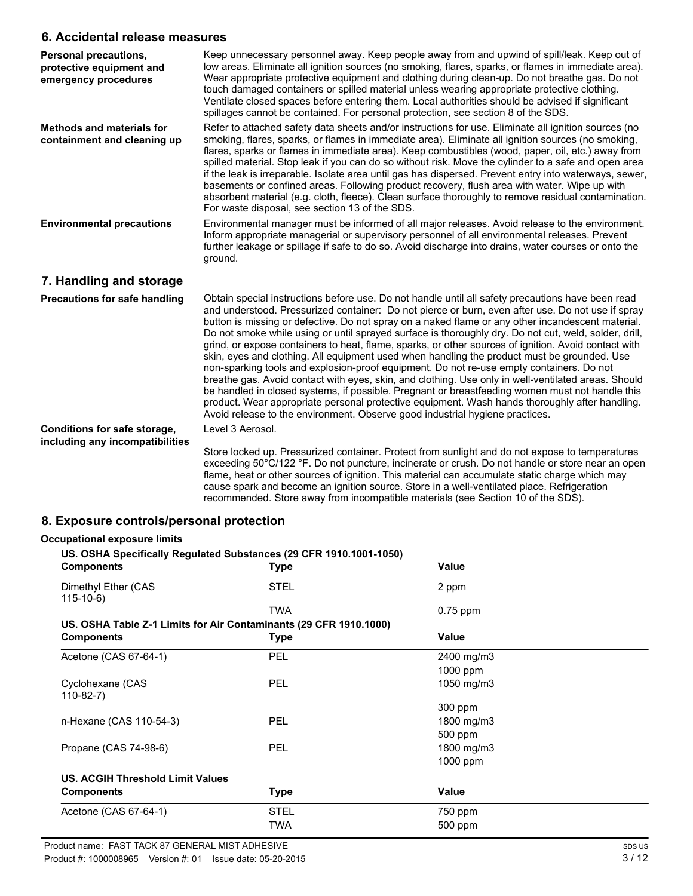# **6. Accidental release measures**

| Personal precautions,<br>protective equipment and<br>emergency procedures | Keep unnecessary personnel away. Keep people away from and upwind of spill/leak. Keep out of<br>low areas. Eliminate all ignition sources (no smoking, flares, sparks, or flames in immediate area).<br>Wear appropriate protective equipment and clothing during clean-up. Do not breathe gas. Do not<br>touch damaged containers or spilled material unless wearing appropriate protective clothing.<br>Ventilate closed spaces before entering them. Local authorities should be advised if significant<br>spillages cannot be contained. For personal protection, see section 8 of the SDS.                                                                                                                                                                                                                                                                                                                                                                                                                                                                                                                     |
|---------------------------------------------------------------------------|---------------------------------------------------------------------------------------------------------------------------------------------------------------------------------------------------------------------------------------------------------------------------------------------------------------------------------------------------------------------------------------------------------------------------------------------------------------------------------------------------------------------------------------------------------------------------------------------------------------------------------------------------------------------------------------------------------------------------------------------------------------------------------------------------------------------------------------------------------------------------------------------------------------------------------------------------------------------------------------------------------------------------------------------------------------------------------------------------------------------|
| <b>Methods and materials for</b><br>containment and cleaning up           | Refer to attached safety data sheets and/or instructions for use. Eliminate all ignition sources (no<br>smoking, flares, sparks, or flames in immediate area). Eliminate all ignition sources (no smoking,<br>flares, sparks or flames in immediate area). Keep combustibles (wood, paper, oil, etc.) away from<br>spilled material. Stop leak if you can do so without risk. Move the cylinder to a safe and open area<br>if the leak is irreparable. Isolate area until gas has dispersed. Prevent entry into waterways, sewer,<br>basements or confined areas. Following product recovery, flush area with water. Wipe up with<br>absorbent material (e.g. cloth, fleece). Clean surface thoroughly to remove residual contamination.<br>For waste disposal, see section 13 of the SDS.                                                                                                                                                                                                                                                                                                                          |
| <b>Environmental precautions</b>                                          | Environmental manager must be informed of all major releases. Avoid release to the environment.<br>Inform appropriate managerial or supervisory personnel of all environmental releases. Prevent<br>further leakage or spillage if safe to do so. Avoid discharge into drains, water courses or onto the<br>ground.                                                                                                                                                                                                                                                                                                                                                                                                                                                                                                                                                                                                                                                                                                                                                                                                 |
| 7. Handling and storage                                                   |                                                                                                                                                                                                                                                                                                                                                                                                                                                                                                                                                                                                                                                                                                                                                                                                                                                                                                                                                                                                                                                                                                                     |
| Precautions for safe handling                                             | Obtain special instructions before use. Do not handle until all safety precautions have been read<br>and understood. Pressurized container: Do not pierce or burn, even after use. Do not use if spray<br>button is missing or defective. Do not spray on a naked flame or any other incandescent material.<br>Do not smoke while using or until sprayed surface is thoroughly dry. Do not cut, weld, solder, drill,<br>grind, or expose containers to heat, flame, sparks, or other sources of ignition. Avoid contact with<br>skin, eyes and clothing. All equipment used when handling the product must be grounded. Use<br>non-sparking tools and explosion-proof equipment. Do not re-use empty containers. Do not<br>breathe gas. Avoid contact with eyes, skin, and clothing. Use only in well-ventilated areas. Should<br>be handled in closed systems, if possible. Pregnant or breastfeeding women must not handle this<br>product. Wear appropriate personal protective equipment. Wash hands thoroughly after handling.<br>Avoid release to the environment. Observe good industrial hygiene practices. |
| <b>Conditions for safe storage,</b>                                       | Level 3 Aerosol.                                                                                                                                                                                                                                                                                                                                                                                                                                                                                                                                                                                                                                                                                                                                                                                                                                                                                                                                                                                                                                                                                                    |
| including any incompatibilities                                           | Store locked up. Pressurized container. Protect from sunlight and do not expose to temperatures<br>exceeding 50°C/122 °F. Do not puncture, incinerate or crush. Do not handle or store near an open<br>flame, heat or other sources of ignition. This material can accumulate static charge which may<br>cause spark and become an ignition source. Store in a well-ventilated place. Refrigeration                                                                                                                                                                                                                                                                                                                                                                                                                                                                                                                                                                                                                                                                                                                 |

# **8. Exposure controls/personal protection**

## **Occupational exposure limits**

# **US. OSHA Specifically Regulated Substances (29 CFR 1910.1001-1050) Components Components Value** Dimethyl Ether (CAS STEL 2 ppm 115-10-6) TWA 0.75 ppm **US. OSHA Table Z-1 Limits for Air Contaminants (29 CFR 1910.1000) Components Type Value** Acetone (CAS 67-64-1) PEL 2400 mg/m3 1000 ppm Cyclohexane (CAS 1050 mg/m3 110-82-7)

|                                                                                        | TWA         | $0.75$ ppm   |  |
|----------------------------------------------------------------------------------------|-------------|--------------|--|
| US. OSHA Table Z-1 Limits for Air Contaminants (29 CFR 1910.1000)<br><b>Components</b> | <b>Type</b> | <b>Value</b> |  |
| Acetone (CAS 67-64-1)                                                                  | <b>PEL</b>  | 2400 mg/m3   |  |
|                                                                                        |             | 1000 ppm     |  |
| Cyclohexane (CAS<br>$110-82-7$                                                         | <b>PEL</b>  | 1050 mg/m3   |  |
|                                                                                        |             | 300 ppm      |  |
| n-Hexane (CAS 110-54-3)                                                                | <b>PEL</b>  | 1800 mg/m3   |  |
|                                                                                        |             | 500 ppm      |  |
| Propane (CAS 74-98-6)                                                                  | <b>PEL</b>  | 1800 mg/m3   |  |
|                                                                                        |             | 1000 ppm     |  |
| <b>US. ACGIH Threshold Limit Values</b>                                                |             |              |  |
| <b>Components</b>                                                                      | <b>Type</b> | <b>Value</b> |  |
| Acetone (CAS 67-64-1)                                                                  | <b>STEL</b> | 750 ppm      |  |
|                                                                                        | TWA         | 500 ppm      |  |

recommended. Store away from incompatible materials (see Section 10 of the SDS).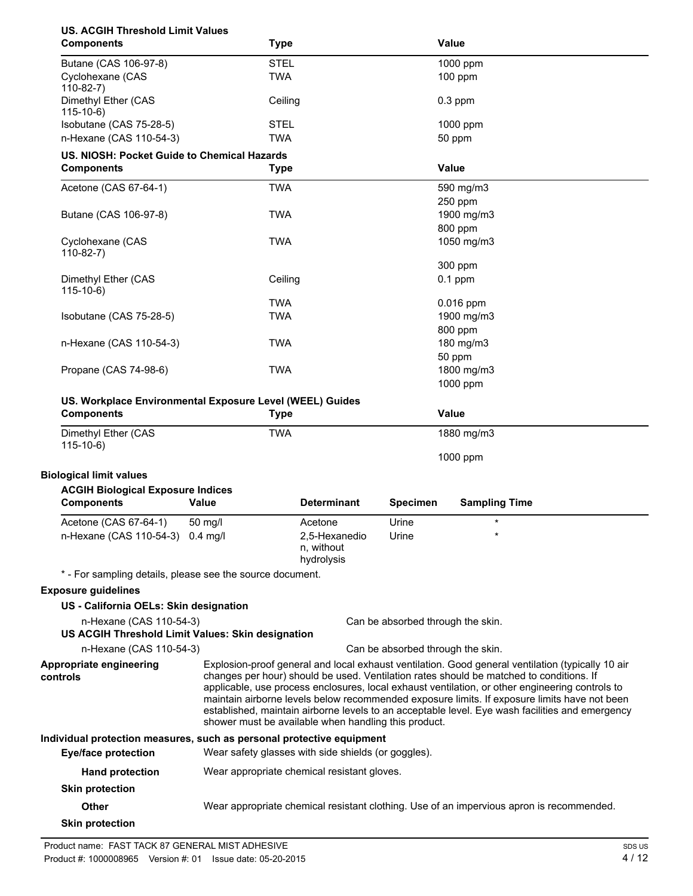| <b>US. ACGIH Threshold Limit Values</b><br><b>Components</b>                  |         | <b>Type</b> |                                                      |                 | <b>Value</b>                                                                                                                                                                                    |
|-------------------------------------------------------------------------------|---------|-------------|------------------------------------------------------|-----------------|-------------------------------------------------------------------------------------------------------------------------------------------------------------------------------------------------|
| Butane (CAS 106-97-8)                                                         |         | <b>STEL</b> |                                                      |                 | 1000 ppm                                                                                                                                                                                        |
| Cyclohexane (CAS                                                              |         | <b>TWA</b>  |                                                      |                 | 100 ppm                                                                                                                                                                                         |
| $110-82-7$                                                                    |         |             |                                                      |                 |                                                                                                                                                                                                 |
| Dimethyl Ether (CAS<br>$115-10-6$                                             |         | Ceiling     |                                                      |                 | $0.3$ ppm                                                                                                                                                                                       |
| Isobutane (CAS 75-28-5)                                                       |         | <b>STEL</b> |                                                      |                 | 1000 ppm                                                                                                                                                                                        |
| n-Hexane (CAS 110-54-3)                                                       |         | <b>TWA</b>  |                                                      |                 | 50 ppm                                                                                                                                                                                          |
| US. NIOSH: Pocket Guide to Chemical Hazards                                   |         |             |                                                      |                 |                                                                                                                                                                                                 |
| <b>Components</b>                                                             |         | <b>Type</b> |                                                      |                 | <b>Value</b>                                                                                                                                                                                    |
| Acetone (CAS 67-64-1)                                                         |         | <b>TWA</b>  |                                                      |                 | 590 mg/m3                                                                                                                                                                                       |
|                                                                               |         |             |                                                      |                 | 250 ppm                                                                                                                                                                                         |
| Butane (CAS 106-97-8)                                                         |         | <b>TWA</b>  |                                                      |                 | 1900 mg/m3                                                                                                                                                                                      |
|                                                                               |         |             |                                                      |                 | 800 ppm                                                                                                                                                                                         |
| Cyclohexane (CAS                                                              |         | <b>TWA</b>  |                                                      |                 | 1050 mg/m3                                                                                                                                                                                      |
| $110-82-7)$                                                                   |         |             |                                                      |                 |                                                                                                                                                                                                 |
| Dimethyl Ether (CAS                                                           |         | Ceiling     |                                                      |                 | 300 ppm<br>$0.1$ ppm                                                                                                                                                                            |
| $115-10-6$                                                                    |         |             |                                                      |                 |                                                                                                                                                                                                 |
|                                                                               |         | <b>TWA</b>  |                                                      |                 | $0.016$ ppm                                                                                                                                                                                     |
| Isobutane (CAS 75-28-5)                                                       |         | <b>TWA</b>  |                                                      |                 | 1900 mg/m3                                                                                                                                                                                      |
|                                                                               |         |             |                                                      |                 | 800 ppm                                                                                                                                                                                         |
| n-Hexane (CAS 110-54-3)                                                       |         | <b>TWA</b>  |                                                      |                 | 180 mg/m3                                                                                                                                                                                       |
|                                                                               |         |             |                                                      |                 | 50 ppm                                                                                                                                                                                          |
| Propane (CAS 74-98-6)                                                         |         | <b>TWA</b>  |                                                      |                 | 1800 mg/m3                                                                                                                                                                                      |
|                                                                               |         |             |                                                      |                 | 1000 ppm                                                                                                                                                                                        |
| US. Workplace Environmental Exposure Level (WEEL) Guides<br><b>Components</b> |         | <b>Type</b> |                                                      |                 | <b>Value</b>                                                                                                                                                                                    |
| Dimethyl Ether (CAS                                                           |         | <b>TWA</b>  |                                                      |                 | 1880 mg/m3                                                                                                                                                                                      |
| $115-10-6$                                                                    |         |             |                                                      |                 |                                                                                                                                                                                                 |
|                                                                               |         |             |                                                      |                 | 1000 ppm                                                                                                                                                                                        |
| <b>Biological limit values</b>                                                |         |             |                                                      |                 |                                                                                                                                                                                                 |
| <b>ACGIH Biological Exposure Indices</b><br><b>Components</b>                 | Value   |             | <b>Determinant</b>                                   | <b>Specimen</b> | <b>Sampling Time</b>                                                                                                                                                                            |
|                                                                               |         |             |                                                      |                 |                                                                                                                                                                                                 |
| Acetone (CAS 67-64-1)                                                         | 50 mg/l |             | Acetone                                              | Urine           | $\star$                                                                                                                                                                                         |
| n-Hexane (CAS 110-54-3) 0.4 mg/l                                              |         |             | 2,5-Hexanedio<br>n, without                          | Urine           |                                                                                                                                                                                                 |
|                                                                               |         |             | hydrolysis                                           |                 |                                                                                                                                                                                                 |
| * - For sampling details, please see the source document.                     |         |             |                                                      |                 |                                                                                                                                                                                                 |
| <b>Exposure guidelines</b>                                                    |         |             |                                                      |                 |                                                                                                                                                                                                 |
| US - California OELs: Skin designation                                        |         |             |                                                      |                 |                                                                                                                                                                                                 |
| n-Hexane (CAS 110-54-3)                                                       |         |             |                                                      |                 | Can be absorbed through the skin.                                                                                                                                                               |
| US ACGIH Threshold Limit Values: Skin designation                             |         |             |                                                      |                 |                                                                                                                                                                                                 |
| n-Hexane (CAS 110-54-3)                                                       |         |             |                                                      |                 | Can be absorbed through the skin.                                                                                                                                                               |
| Appropriate engineering                                                       |         |             |                                                      |                 | Explosion-proof general and local exhaust ventilation. Good general ventilation (typically 10 air                                                                                               |
| controls                                                                      |         |             |                                                      |                 | changes per hour) should be used. Ventilation rates should be matched to conditions. If                                                                                                         |
|                                                                               |         |             |                                                      |                 | applicable, use process enclosures, local exhaust ventilation, or other engineering controls to                                                                                                 |
|                                                                               |         |             |                                                      |                 | maintain airborne levels below recommended exposure limits. If exposure limits have not been<br>established, maintain airborne levels to an acceptable level. Eye wash facilities and emergency |
|                                                                               |         |             | shower must be available when handling this product. |                 |                                                                                                                                                                                                 |
| Individual protection measures, such as personal protective equipment         |         |             |                                                      |                 |                                                                                                                                                                                                 |
| <b>Eye/face protection</b>                                                    |         |             | Wear safety glasses with side shields (or goggles).  |                 |                                                                                                                                                                                                 |
| <b>Hand protection</b>                                                        |         |             | Wear appropriate chemical resistant gloves.          |                 |                                                                                                                                                                                                 |
|                                                                               |         |             |                                                      |                 |                                                                                                                                                                                                 |
| <b>Skin protection</b>                                                        |         |             |                                                      |                 |                                                                                                                                                                                                 |
| <b>Other</b>                                                                  |         |             |                                                      |                 | Wear appropriate chemical resistant clothing. Use of an impervious apron is recommended.                                                                                                        |
| <b>Skin protection</b>                                                        |         |             |                                                      |                 |                                                                                                                                                                                                 |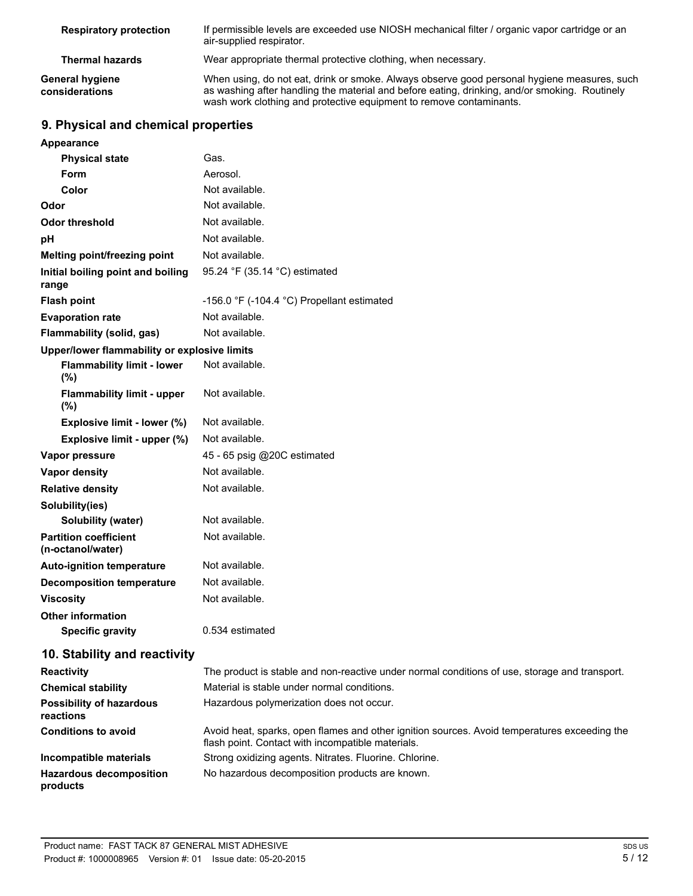| <b>Respiratory protection</b>     | If permissible levels are exceeded use NIOSH mechanical filter / organic vapor cartridge or an<br>air-supplied respirator.                                                                                                                                          |
|-----------------------------------|---------------------------------------------------------------------------------------------------------------------------------------------------------------------------------------------------------------------------------------------------------------------|
| <b>Thermal hazards</b>            | Wear appropriate thermal protective clothing, when necessary.                                                                                                                                                                                                       |
| General hygiene<br>considerations | When using, do not eat, drink or smoke. Always observe good personal hygiene measures, such<br>as washing after handling the material and before eating, drinking, and/or smoking. Routinely<br>wash work clothing and protective equipment to remove contaminants. |

# **9. Physical and chemical properties**

| <b>Appearance</b>                                   |                                                                                            |
|-----------------------------------------------------|--------------------------------------------------------------------------------------------|
| <b>Physical state</b>                               | Gas.                                                                                       |
| Form                                                | Aerosol.                                                                                   |
| Color                                               | Not available.                                                                             |
| Odor                                                | Not available.                                                                             |
| <b>Odor threshold</b>                               | Not available.                                                                             |
| pH                                                  | Not available.                                                                             |
| Melting point/freezing point                        | Not available.                                                                             |
| Initial boiling point and boiling<br>range          | 95.24 °F (35.14 °C) estimated                                                              |
| <b>Flash point</b>                                  | -156.0 °F (-104.4 °C) Propellant estimated                                                 |
| <b>Evaporation rate</b>                             | Not available.                                                                             |
| <b>Flammability (solid, gas)</b>                    | Not available.                                                                             |
| Upper/lower flammability or explosive limits        |                                                                                            |
| <b>Flammability limit - lower</b><br>(%)            | Not available.                                                                             |
| <b>Flammability limit - upper</b><br>(%)            | Not available.                                                                             |
| Explosive limit - lower (%)                         | Not available.                                                                             |
| Explosive limit - upper (%)                         | Not available.                                                                             |
| Vapor pressure                                      | 45 - 65 psig @20C estimated                                                                |
| <b>Vapor density</b>                                | Not available.                                                                             |
| <b>Relative density</b>                             | Not available.                                                                             |
| Solubility(ies)                                     |                                                                                            |
| <b>Solubility (water)</b>                           | Not available.                                                                             |
| <b>Partition coefficient</b><br>(n-octanol/water)   | Not available.                                                                             |
| <b>Auto-ignition temperature</b>                    | Not available.                                                                             |
| <b>Decomposition temperature</b>                    | Not available.                                                                             |
| <b>Viscosity</b>                                    | Not available.                                                                             |
| <b>Other information</b><br><b>Specific gravity</b> | 0.534 estimated                                                                            |
| 10. Stability and reactivity                        |                                                                                            |
| <b>Donotivity</b>                                   | The product is stable and non-reactive under normal conditions of use, storage and transpo |

| <b>Reactivity</b>                            | The product is stable and non-reactive under normal conditions of use, storage and transport.                                                     |
|----------------------------------------------|---------------------------------------------------------------------------------------------------------------------------------------------------|
| <b>Chemical stability</b>                    | Material is stable under normal conditions.                                                                                                       |
| <b>Possibility of hazardous</b><br>reactions | Hazardous polymerization does not occur.                                                                                                          |
| <b>Conditions to avoid</b>                   | Avoid heat, sparks, open flames and other ignition sources. Avoid temperatures exceeding the<br>flash point. Contact with incompatible materials. |
| Incompatible materials                       | Strong oxidizing agents. Nitrates. Fluorine. Chlorine.                                                                                            |
| <b>Hazardous decomposition</b><br>products   | No hazardous decomposition products are known.                                                                                                    |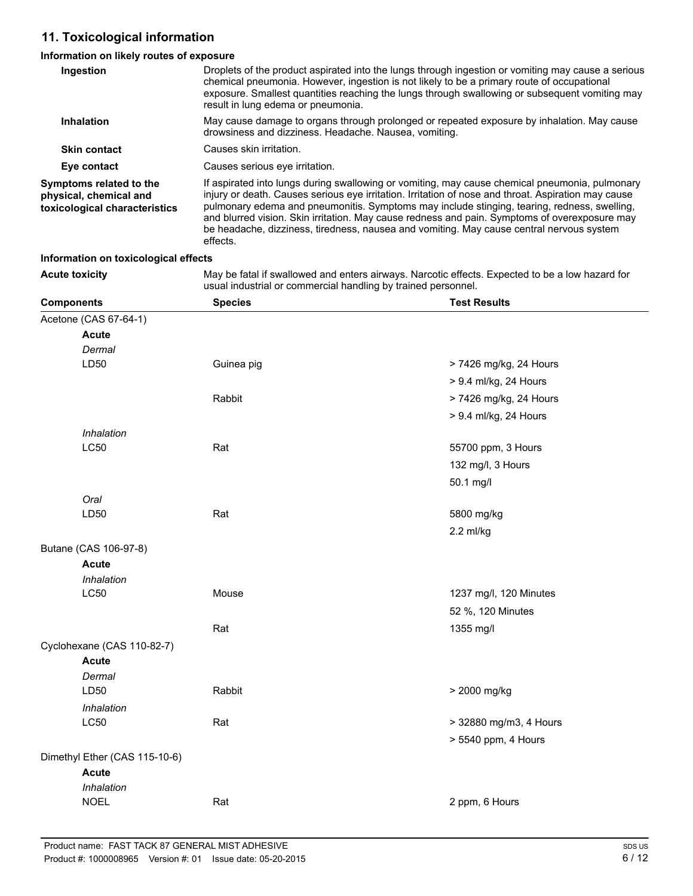# **11. Toxicological information**

| Information on likely routes of exposure                                           |                                                                                                                                                                                                                                                                                                                                                                                                                                                                                                               |                                                                                                 |  |  |  |
|------------------------------------------------------------------------------------|---------------------------------------------------------------------------------------------------------------------------------------------------------------------------------------------------------------------------------------------------------------------------------------------------------------------------------------------------------------------------------------------------------------------------------------------------------------------------------------------------------------|-------------------------------------------------------------------------------------------------|--|--|--|
| Ingestion                                                                          | Droplets of the product aspirated into the lungs through ingestion or vomiting may cause a serious<br>chemical pneumonia. However, ingestion is not likely to be a primary route of occupational<br>exposure. Smallest quantities reaching the lungs through swallowing or subsequent vomiting may<br>result in lung edema or pneumonia.                                                                                                                                                                      |                                                                                                 |  |  |  |
| Inhalation                                                                         | May cause damage to organs through prolonged or repeated exposure by inhalation. May cause<br>drowsiness and dizziness. Headache. Nausea, vomiting.                                                                                                                                                                                                                                                                                                                                                           |                                                                                                 |  |  |  |
| <b>Skin contact</b>                                                                | Causes skin irritation.                                                                                                                                                                                                                                                                                                                                                                                                                                                                                       |                                                                                                 |  |  |  |
| Eye contact                                                                        | Causes serious eye irritation.                                                                                                                                                                                                                                                                                                                                                                                                                                                                                |                                                                                                 |  |  |  |
| Symptoms related to the<br>physical, chemical and<br>toxicological characteristics | If aspirated into lungs during swallowing or vomiting, may cause chemical pneumonia, pulmonary<br>injury or death. Causes serious eye irritation. Irritation of nose and throat. Aspiration may cause<br>pulmonary edema and pneumonitis. Symptoms may include stinging, tearing, redness, swelling,<br>and blurred vision. Skin irritation. May cause redness and pain. Symptoms of overexposure may<br>be headache, dizziness, tiredness, nausea and vomiting. May cause central nervous system<br>effects. |                                                                                                 |  |  |  |
| Information on toxicological effects                                               |                                                                                                                                                                                                                                                                                                                                                                                                                                                                                                               |                                                                                                 |  |  |  |
| <b>Acute toxicity</b>                                                              | usual industrial or commercial handling by trained personnel.                                                                                                                                                                                                                                                                                                                                                                                                                                                 | May be fatal if swallowed and enters airways. Narcotic effects. Expected to be a low hazard for |  |  |  |
| <b>Components</b>                                                                  | <b>Species</b>                                                                                                                                                                                                                                                                                                                                                                                                                                                                                                | <b>Test Results</b>                                                                             |  |  |  |
| Acetone (CAS 67-64-1)                                                              |                                                                                                                                                                                                                                                                                                                                                                                                                                                                                                               |                                                                                                 |  |  |  |
| <b>Acute</b>                                                                       |                                                                                                                                                                                                                                                                                                                                                                                                                                                                                                               |                                                                                                 |  |  |  |
| Dermal                                                                             |                                                                                                                                                                                                                                                                                                                                                                                                                                                                                                               |                                                                                                 |  |  |  |
| LD50                                                                               | Guinea pig                                                                                                                                                                                                                                                                                                                                                                                                                                                                                                    | > 7426 mg/kg, 24 Hours                                                                          |  |  |  |
|                                                                                    |                                                                                                                                                                                                                                                                                                                                                                                                                                                                                                               | > 9.4 ml/kg, 24 Hours                                                                           |  |  |  |
|                                                                                    | Rabbit                                                                                                                                                                                                                                                                                                                                                                                                                                                                                                        | > 7426 mg/kg, 24 Hours                                                                          |  |  |  |
|                                                                                    |                                                                                                                                                                                                                                                                                                                                                                                                                                                                                                               | > 9.4 ml/kg, 24 Hours                                                                           |  |  |  |
| Inhalation                                                                         |                                                                                                                                                                                                                                                                                                                                                                                                                                                                                                               |                                                                                                 |  |  |  |
| <b>LC50</b>                                                                        | Rat                                                                                                                                                                                                                                                                                                                                                                                                                                                                                                           | 55700 ppm, 3 Hours                                                                              |  |  |  |
|                                                                                    |                                                                                                                                                                                                                                                                                                                                                                                                                                                                                                               | 132 mg/l, 3 Hours                                                                               |  |  |  |
|                                                                                    |                                                                                                                                                                                                                                                                                                                                                                                                                                                                                                               | 50.1 mg/l                                                                                       |  |  |  |
| Oral                                                                               |                                                                                                                                                                                                                                                                                                                                                                                                                                                                                                               |                                                                                                 |  |  |  |
| LD50                                                                               | Rat                                                                                                                                                                                                                                                                                                                                                                                                                                                                                                           | 5800 mg/kg                                                                                      |  |  |  |
|                                                                                    |                                                                                                                                                                                                                                                                                                                                                                                                                                                                                                               | $2.2$ ml/kg                                                                                     |  |  |  |
| Butane (CAS 106-97-8)                                                              |                                                                                                                                                                                                                                                                                                                                                                                                                                                                                                               |                                                                                                 |  |  |  |
| <b>Acute</b>                                                                       |                                                                                                                                                                                                                                                                                                                                                                                                                                                                                                               |                                                                                                 |  |  |  |
| Inhalation                                                                         |                                                                                                                                                                                                                                                                                                                                                                                                                                                                                                               |                                                                                                 |  |  |  |
| <b>LC50</b>                                                                        | Mouse                                                                                                                                                                                                                                                                                                                                                                                                                                                                                                         | 1237 mg/l, 120 Minutes                                                                          |  |  |  |
|                                                                                    |                                                                                                                                                                                                                                                                                                                                                                                                                                                                                                               | 52 %, 120 Minutes                                                                               |  |  |  |
|                                                                                    | Rat                                                                                                                                                                                                                                                                                                                                                                                                                                                                                                           | 1355 mg/l                                                                                       |  |  |  |
| Cyclohexane (CAS 110-82-7)                                                         |                                                                                                                                                                                                                                                                                                                                                                                                                                                                                                               |                                                                                                 |  |  |  |
| <b>Acute</b>                                                                       |                                                                                                                                                                                                                                                                                                                                                                                                                                                                                                               |                                                                                                 |  |  |  |
| Dermal                                                                             |                                                                                                                                                                                                                                                                                                                                                                                                                                                                                                               |                                                                                                 |  |  |  |
| LD50                                                                               | Rabbit                                                                                                                                                                                                                                                                                                                                                                                                                                                                                                        | > 2000 mg/kg                                                                                    |  |  |  |

| Rat | > 32880 mg/m3, 4 Hours |
|-----|------------------------|
|     | $> 5540$ ppm, 4 Hours  |
|     |                        |
|     |                        |

2 ppm, 6 Hours

NOEL Rat

 $LC50$ *Inhalation*

Dimethyl Ether (CAS 115-10-6)

*Inhalation* **Acute**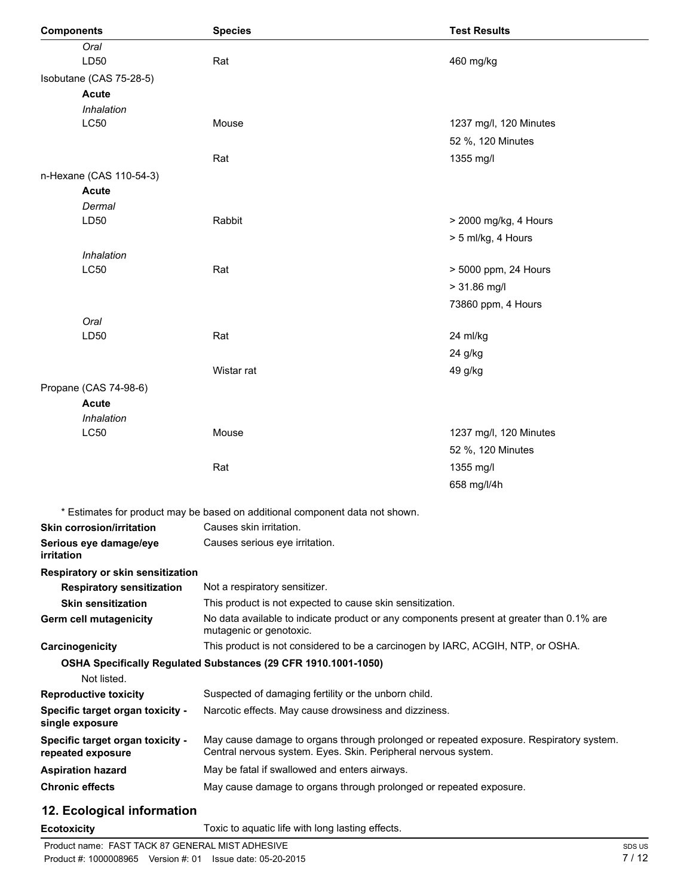| <b>Components</b>                                     | <b>Species</b>                                                                                                                                           | <b>Test Results</b>    |
|-------------------------------------------------------|----------------------------------------------------------------------------------------------------------------------------------------------------------|------------------------|
| Oral                                                  |                                                                                                                                                          |                        |
| LD50                                                  | Rat                                                                                                                                                      | 460 mg/kg              |
| Isobutane (CAS 75-28-5)                               |                                                                                                                                                          |                        |
| <b>Acute</b>                                          |                                                                                                                                                          |                        |
| Inhalation                                            |                                                                                                                                                          |                        |
| <b>LC50</b>                                           | Mouse                                                                                                                                                    | 1237 mg/l, 120 Minutes |
|                                                       |                                                                                                                                                          | 52 %, 120 Minutes      |
|                                                       | Rat                                                                                                                                                      | 1355 mg/l              |
| n-Hexane (CAS 110-54-3)                               |                                                                                                                                                          |                        |
| <b>Acute</b>                                          |                                                                                                                                                          |                        |
| Dermal                                                |                                                                                                                                                          |                        |
| LD50                                                  | Rabbit                                                                                                                                                   | > 2000 mg/kg, 4 Hours  |
|                                                       |                                                                                                                                                          | > 5 ml/kg, 4 Hours     |
| Inhalation                                            |                                                                                                                                                          |                        |
| <b>LC50</b>                                           | Rat                                                                                                                                                      | > 5000 ppm, 24 Hours   |
|                                                       |                                                                                                                                                          | $> 31.86$ mg/l         |
|                                                       |                                                                                                                                                          | 73860 ppm, 4 Hours     |
| Oral                                                  |                                                                                                                                                          |                        |
| LD50                                                  | Rat                                                                                                                                                      | 24 ml/kg               |
|                                                       |                                                                                                                                                          | 24 g/kg                |
|                                                       | Wistar rat                                                                                                                                               | 49 g/kg                |
| Propane (CAS 74-98-6)                                 |                                                                                                                                                          |                        |
| <b>Acute</b>                                          |                                                                                                                                                          |                        |
| Inhalation                                            |                                                                                                                                                          |                        |
| <b>LC50</b>                                           | Mouse                                                                                                                                                    | 1237 mg/l, 120 Minutes |
|                                                       |                                                                                                                                                          | 52 %, 120 Minutes      |
|                                                       | Rat                                                                                                                                                      | 1355 mg/l              |
|                                                       |                                                                                                                                                          | 658 mg/l/4h            |
|                                                       | * Estimates for product may be based on additional component data not shown.                                                                             |                        |
| Skin corrosion/irritation                             | Causes skin irritation.                                                                                                                                  |                        |
| Serious eye damage/eye                                | Causes serious eye irritation.                                                                                                                           |                        |
| <i>irritation</i>                                     |                                                                                                                                                          |                        |
| Respiratory or skin sensitization                     |                                                                                                                                                          |                        |
| <b>Respiratory sensitization</b>                      | Not a respiratory sensitizer.                                                                                                                            |                        |
| <b>Skin sensitization</b>                             | This product is not expected to cause skin sensitization.                                                                                                |                        |
| <b>Germ cell mutagenicity</b>                         | No data available to indicate product or any components present at greater than 0.1% are<br>mutagenic or genotoxic.                                      |                        |
| Carcinogenicity                                       | This product is not considered to be a carcinogen by IARC, ACGIH, NTP, or OSHA.                                                                          |                        |
|                                                       | OSHA Specifically Regulated Substances (29 CFR 1910.1001-1050)                                                                                           |                        |
| Not listed.                                           |                                                                                                                                                          |                        |
| <b>Reproductive toxicity</b>                          | Suspected of damaging fertility or the unborn child.                                                                                                     |                        |
| Specific target organ toxicity -<br>single exposure   | Narcotic effects. May cause drowsiness and dizziness.                                                                                                    |                        |
| Specific target organ toxicity -<br>repeated exposure | May cause damage to organs through prolonged or repeated exposure. Respiratory system.<br>Central nervous system. Eyes. Skin. Peripheral nervous system. |                        |
| <b>Aspiration hazard</b>                              | May be fatal if swallowed and enters airways.                                                                                                            |                        |
| <b>Chronic effects</b>                                | May cause damage to organs through prolonged or repeated exposure.                                                                                       |                        |
| 12 Ecological information                             |                                                                                                                                                          |                        |

# **12. Ecological information**

**Ecotoxicity** Toxic to aquatic life with long lasting effects.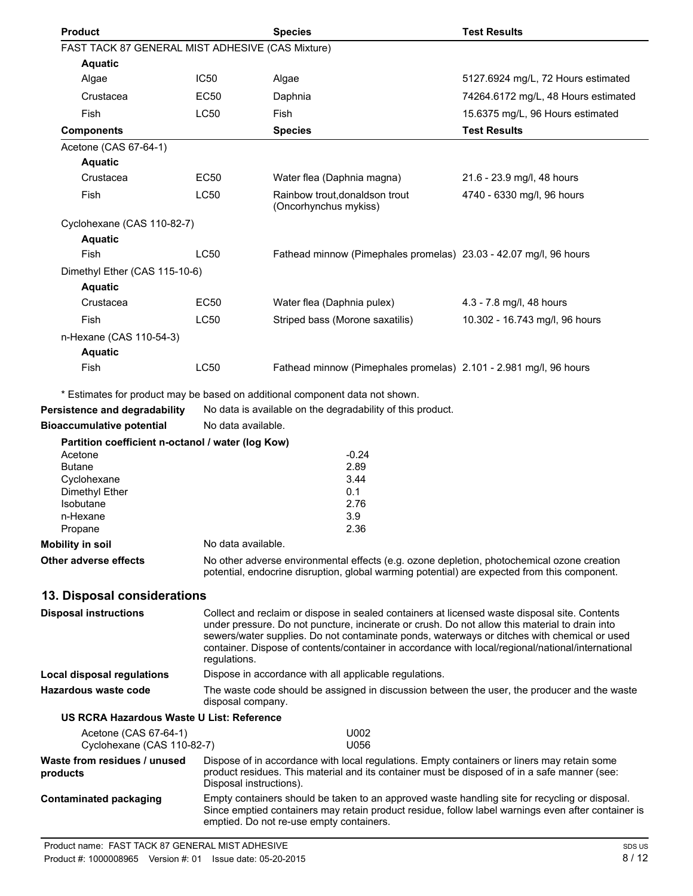| <b>Product</b>                                    |                         | <b>Species</b>                                                                                                                                                                                   | <b>Test Results</b>                 |
|---------------------------------------------------|-------------------------|--------------------------------------------------------------------------------------------------------------------------------------------------------------------------------------------------|-------------------------------------|
| FAST TACK 87 GENERAL MIST ADHESIVE (CAS Mixture)  |                         |                                                                                                                                                                                                  |                                     |
| <b>Aquatic</b><br>Algae                           | IC <sub>50</sub>        | Algae                                                                                                                                                                                            | 5127.6924 mg/L, 72 Hours estimated  |
|                                                   |                         |                                                                                                                                                                                                  |                                     |
| Crustacea                                         | <b>EC50</b>             | Daphnia                                                                                                                                                                                          | 74264.6172 mg/L, 48 Hours estimated |
| <b>Fish</b>                                       | <b>LC50</b>             | Fish                                                                                                                                                                                             | 15.6375 mg/L, 96 Hours estimated    |
| <b>Components</b>                                 |                         | <b>Species</b>                                                                                                                                                                                   | <b>Test Results</b>                 |
| Acetone (CAS 67-64-1)<br><b>Aquatic</b>           |                         |                                                                                                                                                                                                  |                                     |
| Crustacea                                         | <b>EC50</b>             | Water flea (Daphnia magna)                                                                                                                                                                       | 21.6 - 23.9 mg/l, 48 hours          |
| Fish                                              | <b>LC50</b>             | Rainbow trout, donaldson trout                                                                                                                                                                   | 4740 - 6330 mg/l, 96 hours          |
|                                                   |                         | (Oncorhynchus mykiss)                                                                                                                                                                            |                                     |
| Cyclohexane (CAS 110-82-7)                        |                         |                                                                                                                                                                                                  |                                     |
| <b>Aquatic</b>                                    |                         |                                                                                                                                                                                                  |                                     |
| <b>Fish</b>                                       | LC50                    | Fathead minnow (Pimephales promelas) 23.03 - 42.07 mg/l, 96 hours                                                                                                                                |                                     |
| Dimethyl Ether (CAS 115-10-6)                     |                         |                                                                                                                                                                                                  |                                     |
| <b>Aquatic</b>                                    |                         |                                                                                                                                                                                                  |                                     |
| Crustacea                                         | <b>EC50</b>             | Water flea (Daphnia pulex)                                                                                                                                                                       | 4.3 - 7.8 mg/l, 48 hours            |
| Fish                                              | <b>LC50</b>             | Striped bass (Morone saxatilis)                                                                                                                                                                  | 10.302 - 16.743 mg/l, 96 hours      |
| n-Hexane (CAS 110-54-3)                           |                         |                                                                                                                                                                                                  |                                     |
| <b>Aquatic</b>                                    |                         |                                                                                                                                                                                                  |                                     |
| Fish                                              | <b>LC50</b>             | Fathead minnow (Pimephales promelas) 2.101 - 2.981 mg/l, 96 hours                                                                                                                                |                                     |
|                                                   |                         | * Estimates for product may be based on additional component data not shown.                                                                                                                     |                                     |
| Persistence and degradability                     |                         | No data is available on the degradability of this product.                                                                                                                                       |                                     |
| <b>Bioaccumulative potential</b>                  | No data available.      |                                                                                                                                                                                                  |                                     |
| Partition coefficient n-octanol / water (log Kow) |                         |                                                                                                                                                                                                  |                                     |
| Acetone                                           |                         | $-0.24$                                                                                                                                                                                          |                                     |
| <b>Butane</b><br>Cyclohexane                      |                         | 2.89<br>3.44                                                                                                                                                                                     |                                     |
| Dimethyl Ether                                    |                         | 0.1                                                                                                                                                                                              |                                     |
| Isobutane                                         |                         | 2.76                                                                                                                                                                                             |                                     |
| n-Hexane<br>Propane                               |                         | 3.9<br>2.36                                                                                                                                                                                      |                                     |
| <b>Mobility in soil</b>                           | No data available.      |                                                                                                                                                                                                  |                                     |
| <b>Other adverse effects</b>                      |                         | No other adverse environmental effects (e.g. ozone depletion, photochemical ozone creation                                                                                                       |                                     |
|                                                   |                         | potential, endocrine disruption, global warming potential) are expected from this component.                                                                                                     |                                     |
| 13. Disposal considerations                       |                         |                                                                                                                                                                                                  |                                     |
| <b>Disposal instructions</b>                      |                         | Collect and reclaim or dispose in sealed containers at licensed waste disposal site. Contents                                                                                                    |                                     |
|                                                   |                         | under pressure. Do not puncture, incinerate or crush. Do not allow this material to drain into                                                                                                   |                                     |
|                                                   |                         | sewers/water supplies. Do not contaminate ponds, waterways or ditches with chemical or used<br>container. Dispose of contents/container in accordance with local/regional/national/international |                                     |
|                                                   | regulations.            |                                                                                                                                                                                                  |                                     |
| <b>Local disposal regulations</b>                 |                         | Dispose in accordance with all applicable regulations.                                                                                                                                           |                                     |
| Hazardous waste code                              | disposal company.       | The waste code should be assigned in discussion between the user, the producer and the waste                                                                                                     |                                     |
| US RCRA Hazardous Waste U List: Reference         |                         |                                                                                                                                                                                                  |                                     |
| Acetone (CAS 67-64-1)                             |                         | U002                                                                                                                                                                                             |                                     |
| Cyclohexane (CAS 110-82-7)                        |                         | U056                                                                                                                                                                                             |                                     |
| Waste from residues / unused<br>products          |                         | Dispose of in accordance with local regulations. Empty containers or liners may retain some<br>product residues. This material and its container must be disposed of in a safe manner (see:      |                                     |
|                                                   | Disposal instructions). |                                                                                                                                                                                                  |                                     |
| <b>Contaminated packaging</b>                     |                         | Empty containers should be taken to an approved waste handling site for recycling or disposal.                                                                                                   |                                     |

Since emptied containers may retain product residue, follow label warnings even after container is

emptied. Do not re-use empty containers.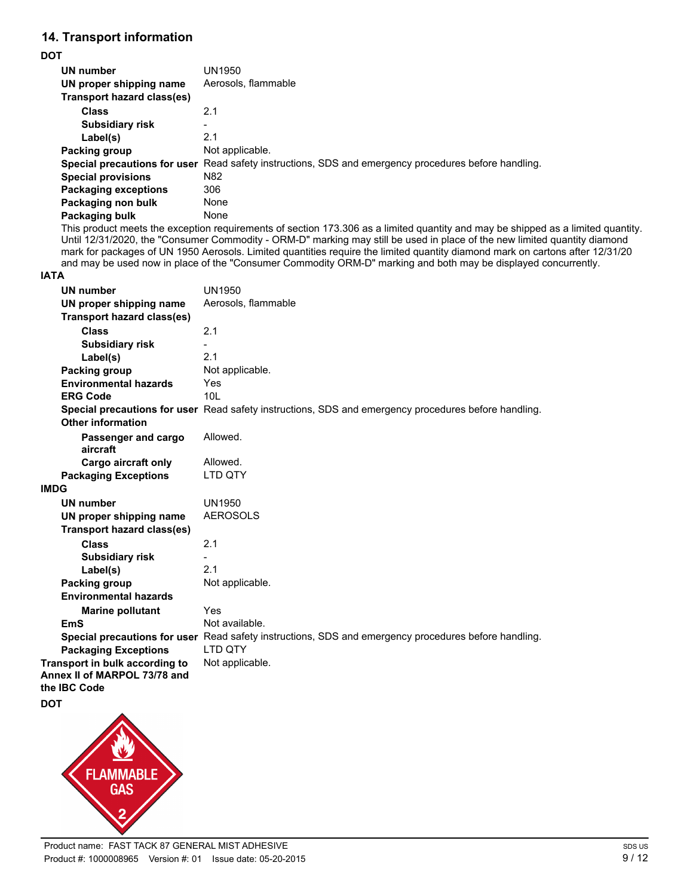# **14. Transport information**

#### **DOT**

| UN number                   | UN1950                                                                                               |
|-----------------------------|------------------------------------------------------------------------------------------------------|
| UN proper shipping name     | Aerosols, flammable                                                                                  |
| Transport hazard class(es)  |                                                                                                      |
| <b>Class</b>                | 2.1                                                                                                  |
| <b>Subsidiary risk</b>      |                                                                                                      |
| Label(s)                    | 2.1                                                                                                  |
| Packing group               | Not applicable.                                                                                      |
|                             | Special precautions for user Read safety instructions, SDS and emergency procedures before handling. |
| <b>Special provisions</b>   | N <sub>82</sub>                                                                                      |
| <b>Packaging exceptions</b> | 306                                                                                                  |
| Packaging non bulk          | None                                                                                                 |
| Packaging bulk              | None                                                                                                 |

This product meets the exception requirements of section 173.306 as a limited quantity and may be shipped as a limited quantity. Until 12/31/2020, the "Consumer Commodity - ORM-D" marking may still be used in place of the new limited quantity diamond mark for packages of UN 1950 Aerosols. Limited quantities require the limited quantity diamond mark on cartons after 12/31/20 and may be used now in place of the "Consumer Commodity ORM-D" marking and both may be displayed concurrently.

#### **IATA**

| <b>UN number</b><br>UN proper shipping name                                    | <b>UN1950</b><br>Aerosols, flammable                                                                 |
|--------------------------------------------------------------------------------|------------------------------------------------------------------------------------------------------|
| <b>Transport hazard class(es)</b>                                              |                                                                                                      |
| <b>Class</b>                                                                   | 2.1                                                                                                  |
| <b>Subsidiary risk</b>                                                         |                                                                                                      |
| Label(s)                                                                       | 2.1                                                                                                  |
| Packing group                                                                  | Not applicable.                                                                                      |
| <b>Environmental hazards</b>                                                   | Yes                                                                                                  |
| <b>ERG Code</b>                                                                | 10L                                                                                                  |
|                                                                                | Special precautions for user Read safety instructions, SDS and emergency procedures before handling. |
| <b>Other information</b>                                                       |                                                                                                      |
| Passenger and cargo<br>aircraft                                                | Allowed.                                                                                             |
| <b>Cargo aircraft only</b>                                                     | Allowed.                                                                                             |
| <b>Packaging Exceptions</b>                                                    | LTD QTY                                                                                              |
| <b>IMDG</b>                                                                    |                                                                                                      |
| <b>UN number</b>                                                               | <b>UN1950</b>                                                                                        |
| UN proper shipping name                                                        | <b>AEROSOLS</b>                                                                                      |
| <b>Transport hazard class(es)</b>                                              |                                                                                                      |
| <b>Class</b>                                                                   | 2.1                                                                                                  |
| <b>Subsidiary risk</b>                                                         |                                                                                                      |
| Label(s)                                                                       | 2.1                                                                                                  |
| Packing group                                                                  | Not applicable.                                                                                      |
| <b>Environmental hazards</b>                                                   |                                                                                                      |
| <b>Marine pollutant</b>                                                        | Yes                                                                                                  |
| <b>EmS</b>                                                                     | Not available.                                                                                       |
|                                                                                | Special precautions for user Read safety instructions, SDS and emergency procedures before handling. |
| <b>Packaging Exceptions</b>                                                    | <b>LTD OTY</b>                                                                                       |
| Transport in bulk according to<br>Annex II of MARPOL 73/78 and<br>the IBC Code | Not applicable.                                                                                      |
| <b>DOT</b>                                                                     |                                                                                                      |
| ◠                                                                              |                                                                                                      |

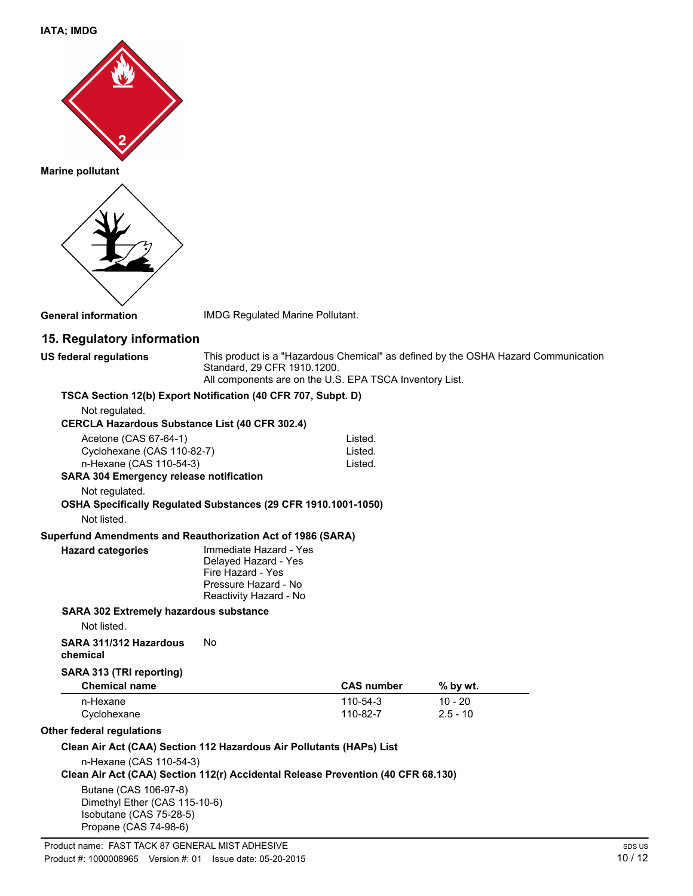**IATA; IMDG**



**Marine pollutant**



**General information** IMDG Regulated Marine Pollutant.

# **15. Regulatory information**

**US federal regulations** This product is a "Hazardous Chemical" as defined by the OSHA Hazard Communication Standard, 29 CFR 1910.1200. All components are on the U.S. EPA TSCA Inventory List.

**TSCA Section 12(b) Export Notification (40 CFR 707, Subpt. D)**

Not regulated.

| Acetone (CAS 67-64-1)<br>Cyclohexane (CAS 110-82-7)          |                                                                                                                                                                                   | Listed.<br>Listed. |
|--------------------------------------------------------------|-----------------------------------------------------------------------------------------------------------------------------------------------------------------------------------|--------------------|
| n-Hexane (CAS 110-54-3)                                      |                                                                                                                                                                                   | Listed.            |
| <b>SARA 304 Emergency release notification</b>               |                                                                                                                                                                                   |                    |
| Not regulated.                                               |                                                                                                                                                                                   |                    |
|                                                              | OSHA Specifically Regulated Substances (29 CFR 1910.1001-1050)                                                                                                                    |                    |
| Not listed.                                                  |                                                                                                                                                                                   |                    |
| Superfund Amendments and Reauthorization Act of 1986 (SARA)  |                                                                                                                                                                                   |                    |
| <b>Hazard categories</b>                                     | Immediate Hazard - Yes<br>Delayed Hazard - Yes<br>Fire Hazard - Yes<br>Pressure Hazard - No<br>Reactivity Hazard - No                                                             |                    |
| <b>SARA 302 Extremely hazardous substance</b><br>Not listed. |                                                                                                                                                                                   |                    |
| SARA 311/312 Hazardous<br>chemical                           | N٥                                                                                                                                                                                |                    |
| SARA 313 (TRI reporting)<br><b>Chemical name</b>             |                                                                                                                                                                                   | <b>CAS number</b>  |
| n-Hexane                                                     |                                                                                                                                                                                   | 110-54-3           |
| Cyclohexane                                                  |                                                                                                                                                                                   | 110-82-7           |
| Other federal regulations                                    | $\bigcap_{i=1}^n A_i$ and $\bigcap_{i=1}^n A_i$ and $\bigcap_{i=1}^n A_i$ and $\bigcap_{i=1}^n A_i$ and $\bigcap_{i=1}^n A_i$ and $\bigcap_{i=1}^n A_i$ and $\bigcap_{i=1}^n A_i$ |                    |

| <b>Chemical name</b> | <b>CAS number</b> | % by wt.   |  |
|----------------------|-------------------|------------|--|
| n-Hexane             | 110-54-3          | 10 - 20    |  |
| Cyclohexane          | 110-82-7          | $2.5 - 10$ |  |

#### **Other federal regulations**

### **Clean Air Act (CAA) Section 112 Hazardous Air Pollutants (HAPs) List**

n-Hexane (CAS 110-54-3)

**Clean Air Act (CAA) Section 112(r) Accidental Release Prevention (40 CFR 68.130)**

Butane (CAS 106-97-8) Dimethyl Ether (CAS 115-10-6) Isobutane (CAS 75-28-5) Propane (CAS 74-98-6)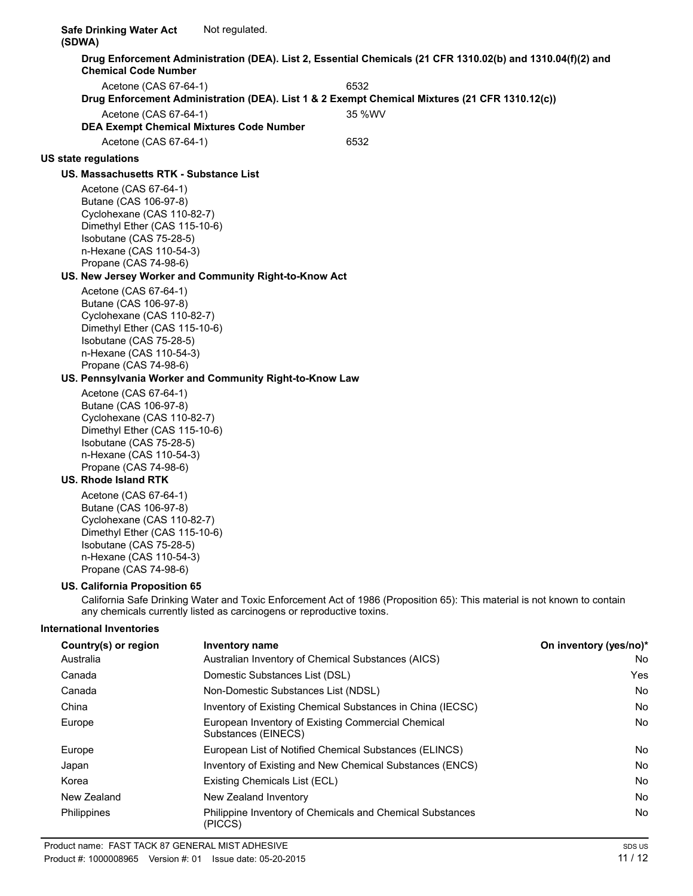**Safe Drinking Water Act (SDWA)** Not regulated. **Drug Enforcement Administration (DEA). List 2, Essential Chemicals (21 CFR 1310.02(b) and 1310.04(f)(2) and Chemical Code Number** Acetone (CAS 67-64-1) 6532 **Drug Enforcement Administration (DEA). List 1 & 2 Exempt Chemical Mixtures (21 CFR 1310.12(c))** Acetone (CAS 67-64-1) 35 %WV **DEA Exempt Chemical Mixtures Code Number** Acetone (CAS 67-64-1) 6532 **US state regulations US. Massachusetts RTK - Substance List** Acetone (CAS 67-64-1) Butane (CAS 106-97-8) Cyclohexane (CAS 110-82-7) Dimethyl Ether (CAS 115-10-6) Isobutane (CAS 75-28-5) n-Hexane (CAS 110-54-3) Propane (CAS 74-98-6) **US. New Jersey Worker and Community Right-to-Know Act** Acetone (CAS 67-64-1) Butane (CAS 106-97-8) Cyclohexane (CAS 110-82-7) Dimethyl Ether (CAS 115-10-6) Isobutane (CAS 75-28-5) n-Hexane (CAS 110-54-3) Propane (CAS 74-98-6) **US. Pennsylvania Worker and Community Right-to-Know Law** Acetone (CAS 67-64-1) Butane (CAS 106-97-8) Cyclohexane (CAS 110-82-7) Dimethyl Ether (CAS 115-10-6) Isobutane (CAS 75-28-5) n-Hexane (CAS 110-54-3) Propane (CAS 74-98-6) **US. Rhode Island RTK** Acetone (CAS 67-64-1) Butane (CAS 106-97-8) Cyclohexane (CAS 110-82-7) Dimethyl Ether (CAS 115-10-6) Isobutane (CAS 75-28-5) n-Hexane (CAS 110-54-3) Propane (CAS 74-98-6) **US. California Proposition 65** California Safe Drinking Water and Toxic Enforcement Act of 1986 (Proposition 65): This material is not known to contain any chemicals currently listed as carcinogens or reproductive toxins. **International Inventories Country(s) or region Inventory name On inventory (yes/no)\*** Australia **Australian Inventory of Chemical Substances (AICS)** No **No** Canada Domestic Substances List (DSL) Yes Canada Non-Domestic Substances List (NDSL) No China **Inventory of Existing Chemical Substances in China (IECSC)** No No Europe **European Inventory of Existing Commercial Chemical Chemical Chemical Chemical Chemical Chemical Chemical Chemical Chemical Chemical Chemical Chemical Chemical Chemical Chemical Chemical Chemical Chemical Chemical C** Substances (EINECS) Europe **European List of Notified Chemical Substances (ELINCS)** No Notice Allem Notice 1, 1996 Japan **Inventory of Existing and New Chemical Substances (ENCS)** No No Korea **Existing Chemicals List (ECL)** No and the existing Chemicals List (ECL) No and the existing Chemicals List (ECL) New Zealand New Zealand Inventory No Philippines **Philippine Inventory of Chemicals and Chemical Substances** No Ro (PICCS)